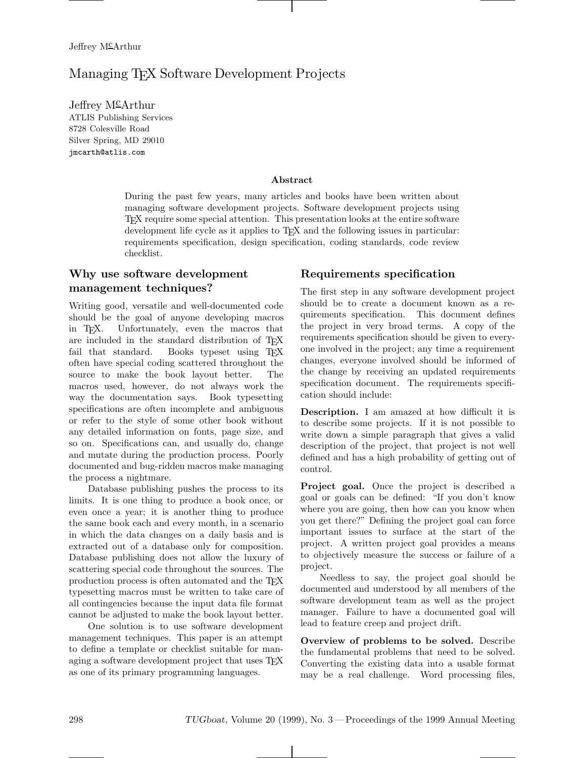# Managing TEX Software Development Projects

Jeffrey  $M^{\mathcal{L}}$ Arthur ATLIS Publishing Services 8728 Colesville Road Silver Spring, MD 29010 jmcarth@atlis.com

#### **Abstract**

During the past few years, many articles and books have been written about managing software development projects. Software development projects using TEX require some special attention. This presentation looks at the entire software development life cycle as it applies to TEX and the following issues in particular: requirements specification, design specification, coding standards, code review checklist.

# **Why use software development management techniques?**

Writing good, versatile and well-documented code should be the goal of anyone developing macros in TEX. Unfortunately, even the macros that are included in the standard distribution of T<sub>E</sub>X<br>fail that standard. Books typeset using T<sub>F</sub>X Books typeset using TEX often have special coding scattered throughout the source to make the book layout better. The macros used, however, do not always work the way the documentation says. Book typesetting specifications are often incomplete and ambiguous or refer to the style of some other book without any detailed information on fonts, page size, and so on. Specifications can, and usually do, change and mutate during the production process. Poorly documented and bug-ridden macros make managing the process a nightmare.

Database publishing pushes the process to its limits. It is one thing to produce a book once, or even once a year; it is another thing to produce the same book each and every month, in a scenario in which the data changes on a daily basis and is extracted out of a database only for composition. Database publishing does not allow the luxury of scattering special code throughout the sources. The production process is often automated and the TEX typesetting macros must be written to take care of all contingencies because the input data file format cannot be adjusted to make the book layout better.

One solution is to use software development management techniques. This paper is an attempt to define a template or checklist suitable for managing a software development project that uses T<sub>EX</sub> as one of its primary programming languages.

### **Requirements specification**

The first step in any software development project should be to create a document known as a requirements specification. This document defines the project in very broad terms. A copy of the requirements specification should be given to everyone involved in the project; any time a requirement changes, everyone involved should be informed of the change by receiving an updated requirements specification document. The requirements specification should include:

**Description.** I am amazed at how difficult it is to describe some projects. If it is not possible to write down a simple paragraph that gives a valid description of the project, that project is not well defined and has a high probability of getting out of control.

**Project goal.** Once the project is described a goal or goals can be defined: "If you don't know where you are going, then how can you know when you get there?" Defining the project goal can force important issues to surface at the start of the project. A written project goal provides a means to objectively measure the success or failure of a project.

Needless to say, the project goal should be documented and understood by all members of the software development team as well as the project manager. Failure to have a documented goal will lead to feature creep and project drift.

**Overview of problems to be solved.** Describe the fundamental problems that need to be solved. Converting the existing data into a usable format may be a real challenge. Word processing files,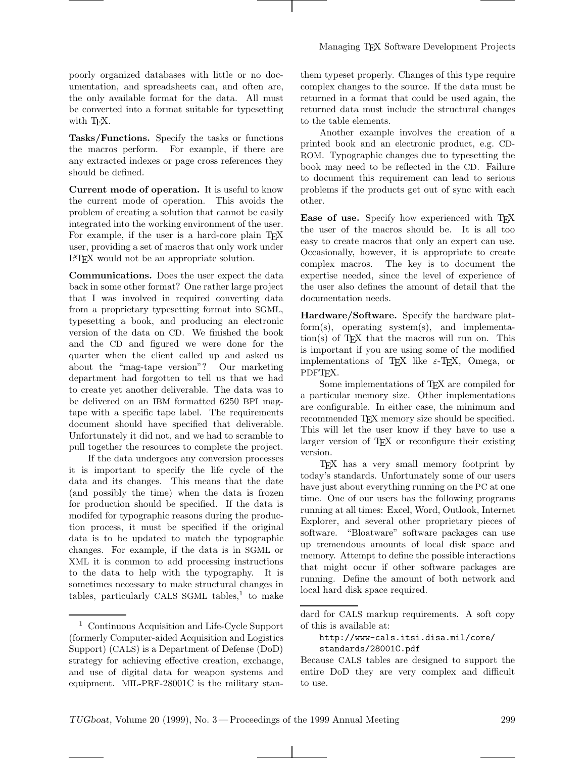poorly organized databases with little or no documentation, and spreadsheets can, and often are, the only available format for the data. All must be converted into a format suitable for typesetting with T<sub>F</sub>X.

**Tasks/Functions.** Specify the tasks or functions the macros perform. For example, if there are any extracted indexes or page cross references they should be defined.

**Current mode of operation.** It is useful to know the current mode of operation. This avoids the problem of creating a solution that cannot be easily integrated into the working environment of the user. For example, if the user is a hard-core plain TFX user, providing a set of macros that only work under LATEX would not be an appropriate solution.

**Communications.** Does the user expect the data back in some other format? One rather large project that I was involved in required converting data from a proprietary typesetting format into SGML, typesetting a book, and producing an electronic version of the data on CD. We finished the book and the CD and figured we were done for the quarter when the client called up and asked us about the "mag-tape version"? Our marketing department had forgotten to tell us that we had to create yet another deliverable. The data was to be delivered on an IBM formatted 6250 BPI magtape with a specific tape label. The requirements document should have specified that deliverable. Unfortunately it did not, and we had to scramble to pull together the resources to complete the project.

If the data undergoes any conversion processes it is important to specify the life cycle of the data and its changes. This means that the date (and possibly the time) when the data is frozen for production should be specified. If the data is modifed for typographic reasons during the production process, it must be specified if the original data is to be updated to match the typographic changes. For example, if the data is in SGML or XML it is common to add processing instructions to the data to help with the typography. It is sometimes necessary to make structural changes in tables, particularly CALS SGML tables,<sup>1</sup> to make them typeset properly. Changes of this type require complex changes to the source. If the data must be returned in a format that could be used again, the returned data must include the structural changes to the table elements.

Another example involves the creation of a printed book and an electronic product, e.g. CD-ROM. Typographic changes due to typesetting the book may need to be reflected in the CD. Failure to document this requirement can lead to serious problems if the products get out of sync with each other.

**Ease of use.** Specify how experienced with T<sub>E</sub>X the user of the macros should be. It is all too easy to create macros that only an expert can use. Occasionally, however, it is appropriate to create complex macros. The key is to document the expertise needed, since the level of experience of the user also defines the amount of detail that the documentation needs.

**Hardware/Software.** Specify the hardware platform(s), operating system(s), and implementa- $\text{tion}(s)$  of T<sub>F</sub>X that the macros will run on. This is important if you are using some of the modified implementations of T<sub>E</sub>X like  $\varepsilon$ -T<sub>E</sub>X, Omega, or PDFT<sub>F</sub>X.

Some implementations of TEX are compiled for a particular memory size. Other implementations are configurable. In either case, the minimum and recommended TFX memory size should be specified. This will let the user know if they have to use a larger version of T<sub>E</sub>X or reconfigure their existing version.

TEX has a very small memory footprint by today's standards. Unfortunately some of our users have just about everything running on the PC at one time. One of our users has the following programs running at all times: Excel, Word, Outlook, Internet Explorer, and several other proprietary pieces of software. "Bloatware" software packages can use up tremendous amounts of local disk space and memory. Attempt to define the possible interactions that might occur if other software packages are running. Define the amount of both network and local hard disk space required.

<sup>1</sup> Continuous Acquisition and Life-Cycle Support (formerly Computer-aided Acquisition and Logistics Support) (CALS) is a Department of Defense (DoD) strategy for achieving effective creation, exchange, and use of digital data for weapon systems and equipment. MIL-PRF-28001C is the military stan-

dard for CALS markup requirements. A soft copy of this is available at:

http://www-cals.itsi.disa.mil/core/ standards/28001C.pdf

Because CALS tables are designed to support the entire DoD they are very complex and difficult to use.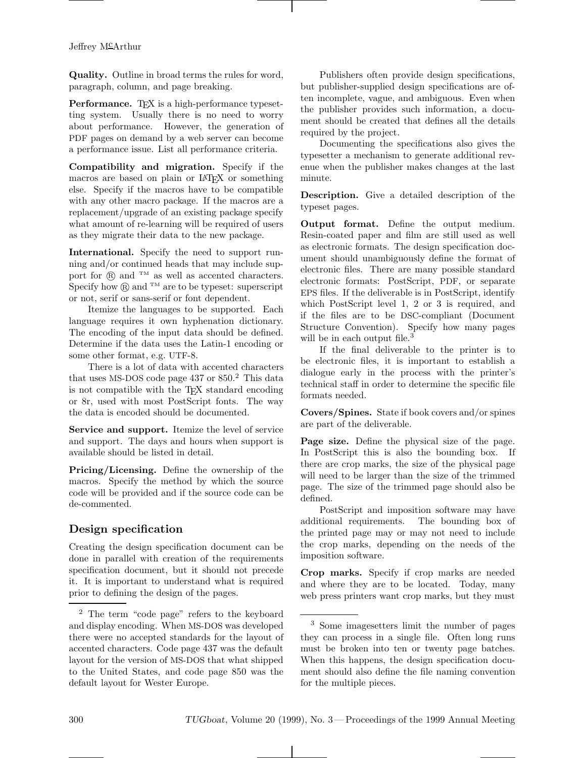**Quality.** Outline in broad terms the rules for word, paragraph, column, and page breaking.

**Performance.** T<sub>E</sub>X is a high-performance typesetting system. Usually there is no need to worry about performance. However, the generation of PDF pages on demand by a web server can become a performance issue. List all performance criteria.

**Compatibility and migration.** Specify if the macros are based on plain or LATEX or something else. Specify if the macros have to be compatible with any other macro package. If the macros are a replacement/upgrade of an existing package specify what amount of re-learning will be required of users as they migrate their data to the new package.

**International.** Specify the need to support running and/or continued heads that may include support for  $\widehat{R}$  and <sup>TM</sup> as well as accented characters. Specify how  $(\overline{R})$  and <sup>TM</sup> are to be typeset: superscript or not, serif or sans-serif or font dependent.

Itemize the languages to be supported. Each language requires it own hyphenation dictionary. The encoding of the input data should be defined. Determine if the data uses the Latin-1 encoding or some other format, e.g. UTF-8.

There is a lot of data with accented characters that uses MS-DOS code page  $437$  or  $850.<sup>2</sup>$  This data is not compatible with the TEX standard encoding or 8r, used with most PostScript fonts. The way the data is encoded should be documented.

**Service and support.** Itemize the level of service and support. The days and hours when support is available should be listed in detail.

**Pricing/Licensing.** Define the ownership of the macros. Specify the method by which the source code will be provided and if the source code can be de-commented.

# **Design specification**

Creating the design specification document can be done in parallel with creation of the requirements specification document, but it should not precede it. It is important to understand what is required prior to defining the design of the pages.

Publishers often provide design specifications, but publisher-supplied design specifications are often incomplete, vague, and ambiguous. Even when the publisher provides such information, a document should be created that defines all the details required by the project.

Documenting the specifications also gives the typesetter a mechanism to generate additional revenue when the publisher makes changes at the last minute.

**Description.** Give a detailed description of the typeset pages.

**Output format.** Define the output medium. Resin-coated paper and film are still used as well as electronic formats. The design specification document should unambiguously define the format of electronic files. There are many possible standard electronic formats: PostScript, PDF, or separate EPS files. If the deliverable is in PostScript, identify which PostScript level 1, 2 or 3 is required, and if the files are to be DSC-compliant (Document Structure Convention). Specify how many pages will be in each output file.<sup>3</sup>

If the final deliverable to the printer is to be electronic files, it is important to establish a dialogue early in the process with the printer's technical staff in order to determine the specific file formats needed.

**Covers/Spines.** State if book covers and/or spines are part of the deliverable.

**Page size.** Define the physical size of the page. In PostScript this is also the bounding box. If there are crop marks, the size of the physical page will need to be larger than the size of the trimmed page. The size of the trimmed page should also be defined.

PostScript and imposition software may have additional requirements. The bounding box of the printed page may or may not need to include the crop marks, depending on the needs of the imposition software.

**Crop marks.** Specify if crop marks are needed and where they are to be located. Today, many web press printers want crop marks, but they must

<sup>2</sup> The term "code page" refers to the keyboard and display encoding. When MS-DOS was developed there were no accepted standards for the layout of accented characters. Code page 437 was the default layout for the version of MS-DOS that what shipped to the United States, and code page 850 was the default layout for Wester Europe.

<sup>3</sup> Some imagesetters limit the number of pages they can process in a single file. Often long runs must be broken into ten or twenty page batches. When this happens, the design specification document should also define the file naming convention for the multiple pieces.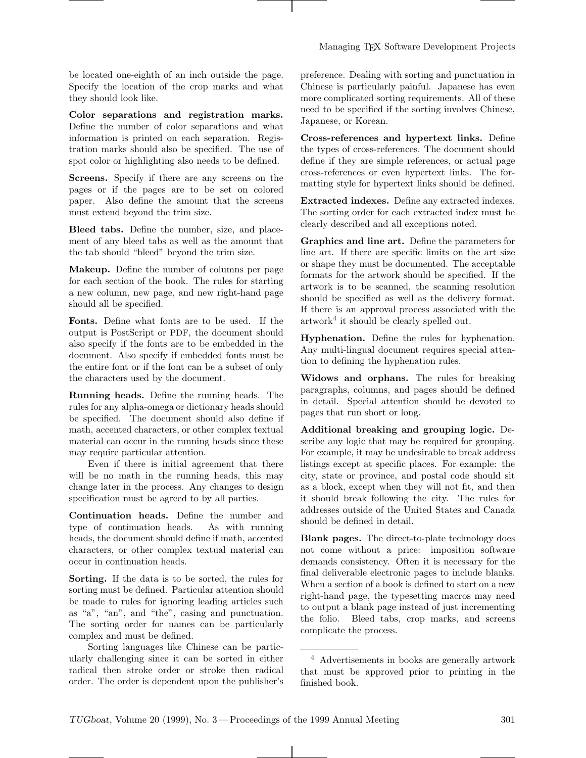be located one-eighth of an inch outside the page. Specify the location of the crop marks and what they should look like.

**Color separations and registration marks.** Define the number of color separations and what information is printed on each separation. Registration marks should also be specified. The use of spot color or highlighting also needs to be defined.

**Screens.** Specify if there are any screens on the pages or if the pages are to be set on colored paper. Also define the amount that the screens must extend beyond the trim size.

**Bleed tabs.** Define the number, size, and placement of any bleed tabs as well as the amount that the tab should "bleed" beyond the trim size.

**Makeup.** Define the number of columns per page for each section of the book. The rules for starting a new column, new page, and new right-hand page should all be specified.

**Fonts.** Define what fonts are to be used. If the output is PostScript or PDF, the document should also specify if the fonts are to be embedded in the document. Also specify if embedded fonts must be the entire font or if the font can be a subset of only the characters used by the document.

**Running heads.** Define the running heads. The rules for any alpha-omega or dictionary heads should be specified. The document should also define if math, accented characters, or other complex textual material can occur in the running heads since these may require particular attention.

Even if there is initial agreement that there will be no math in the running heads, this may change later in the process. Any changes to design specification must be agreed to by all parties.

**Continuation heads.** Define the number and type of continuation heads. As with running heads, the document should define if math, accented characters, or other complex textual material can occur in continuation heads.

**Sorting.** If the data is to be sorted, the rules for sorting must be defined. Particular attention should be made to rules for ignoring leading articles such as "a", "an", and "the", casing and punctuation. The sorting order for names can be particularly complex and must be defined.

Sorting languages like Chinese can be particularly challenging since it can be sorted in either radical then stroke order or stroke then radical order. The order is dependent upon the publisher's preference. Dealing with sorting and punctuation in Chinese is particularly painful. Japanese has even more complicated sorting requirements. All of these need to be specified if the sorting involves Chinese, Japanese, or Korean.

**Cross-references and hypertext links.** Define the types of cross-references. The document should define if they are simple references, or actual page cross-references or even hypertext links. The formatting style for hypertext links should be defined.

**Extracted indexes.** Define any extracted indexes. The sorting order for each extracted index must be clearly described and all exceptions noted.

**Graphics and line art.** Define the parameters for line art. If there are specific limits on the art size or shape they must be documented. The acceptable formats for the artwork should be specified. If the artwork is to be scanned, the scanning resolution should be specified as well as the delivery format. If there is an approval process associated with the  $artwork<sup>4</sup>$  it should be clearly spelled out.

**Hyphenation.** Define the rules for hyphenation. Any multi-lingual document requires special attention to defining the hyphenation rules.

**Widows and orphans.** The rules for breaking paragraphs, columns, and pages should be defined in detail. Special attention should be devoted to pages that run short or long.

**Additional breaking and grouping logic.** Describe any logic that may be required for grouping. For example, it may be undesirable to break address listings except at specific places. For example: the city, state or province, and postal code should sit as a block, except when they will not fit, and then it should break following the city. The rules for addresses outside of the United States and Canada should be defined in detail.

**Blank pages.** The direct-to-plate technology does not come without a price: imposition software demands consistency. Often it is necessary for the final deliverable electronic pages to include blanks. When a section of a book is defined to start on a new right-hand page, the typesetting macros may need to output a blank page instead of just incrementing the folio. Bleed tabs, crop marks, and screens complicate the process.

<sup>4</sup> Advertisements in books are generally artwork that must be approved prior to printing in the finished book.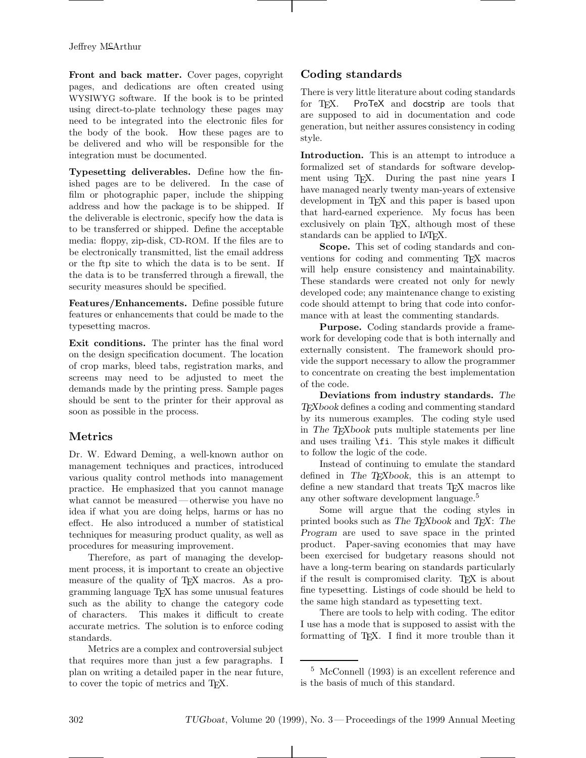**Front and back matter.** Cover pages, copyright pages, and dedications are often created using WYSIWYG software. If the book is to be printed using direct-to-plate technology these pages may need to be integrated into the electronic files for the body of the book. How these pages are to be delivered and who will be responsible for the integration must be documented.

**Typesetting deliverables.** Define how the finished pages are to be delivered. In the case of film or photographic paper, include the shipping address and how the package is to be shipped. If the deliverable is electronic, specify how the data is to be transferred or shipped. Define the acceptable media: floppy, zip-disk, CD-ROM. If the files are to be electronically transmitted, list the email address or the ftp site to which the data is to be sent. If the data is to be transferred through a firewall, the security measures should be specified.

**Features/Enhancements.** Define possible future features or enhancements that could be made to the typesetting macros.

**Exit conditions.** The printer has the final word on the design specification document. The location of crop marks, bleed tabs, registration marks, and screens may need to be adjusted to meet the demands made by the printing press. Sample pages should be sent to the printer for their approval as soon as possible in the process.

## **Metrics**

Dr. W. Edward Deming, a well-known author on management techniques and practices, introduced various quality control methods into management practice. He emphasized that you cannot manage what cannot be measured— otherwise you have no idea if what you are doing helps, harms or has no effect. He also introduced a number of statistical techniques for measuring product quality, as well as procedures for measuring improvement.

Therefore, as part of managing the development process, it is important to create an objective measure of the quality of T<sub>F</sub>X macros. As a programming language TEX has some unusual features such as the ability to change the category code of characters. This makes it difficult to create accurate metrics. The solution is to enforce coding standards.

Metrics are a complex and controversial subject that requires more than just a few paragraphs. I plan on writing a detailed paper in the near future, to cover the topic of metrics and TEX.

# **Coding standards**

There is very little literature about coding standards for T<sub>F</sub>X. ProTeX and docstrip are tools that are supposed to aid in documentation and code generation, but neither assures consistency in coding style.

**Introduction.** This is an attempt to introduce a formalized set of standards for software development using T<sub>E</sub>X. During the past nine years I have managed nearly twenty man-years of extensive development in T<sub>E</sub>X and this paper is based upon that hard-earned experience. My focus has been exclusively on plain T<sub>E</sub>X, although most of these standards can be applied to LAT<sub>F</sub>X.

**Scope.** This set of coding standards and conventions for coding and commenting TEX macros will help ensure consistency and maintainability. These standards were created not only for newly developed code; any maintenance change to existing code should attempt to bring that code into conformance with at least the commenting standards.

**Purpose.** Coding standards provide a framework for developing code that is both internally and externally consistent. The framework should provide the support necessary to allow the programmer to concentrate on creating the best implementation of the code.

**Deviations from industry standards.** The TFX book defines a coding and commenting standard TEXbook defines a coding and commenting standard by its numerous examples. The coding style used in The TEXbook puts multiple statements per line and uses trailing \fi. This style makes it difficult to follow the logic of the code.

Instead of continuing to emulate the standard defined in The T<sub>E</sub>Xbook, this is an attempt to define a new standard that treats TEX macros like any other software development language.<sup>5</sup>

Some will argue that the coding styles in printed books such as The TEXbook and TEX: The Program are used to save space in the printed product. Paper-saving economies that may have been exercised for budgetary reasons should not have a long-term bearing on standards particularly if the result is compromised clarity. TEX is about fine typesetting. Listings of code should be held to the same high standard as typesetting text.

There are tools to help with coding. The editor I use has a mode that is supposed to assist with the formatting of T<sub>E</sub>X. I find it more trouble than it

<sup>5</sup> McConnell (1993) is an excellent reference and is the basis of much of this standard.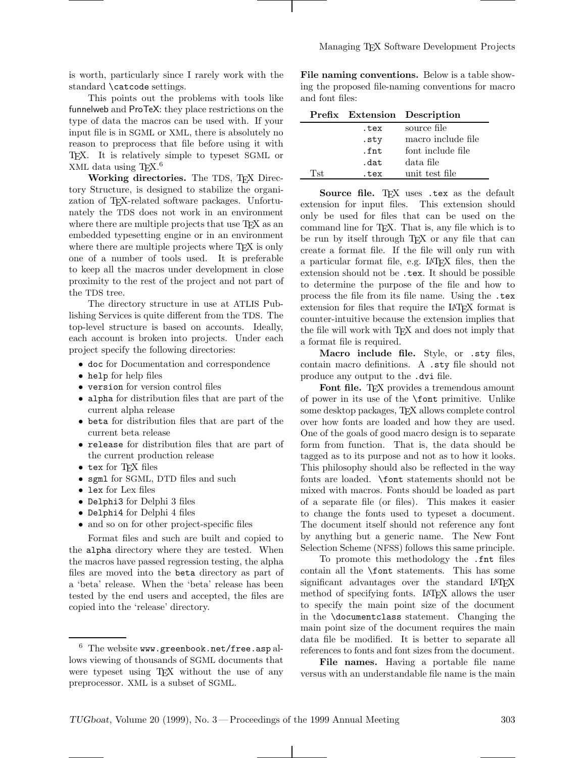is worth, particularly since I rarely work with the standard \catcode settings.

This points out the problems with tools like funnelweb and ProTeX: they place restrictions on the type of data the macros can be used with. If your input file is in SGML or XML, there is absolutely no reason to preprocess that file before using it with TEX. It is relatively simple to typeset SGML or XML data using T<sub>E</sub>X.<sup>6</sup>

Working directories. The TDS, T<sub>F</sub>X Directory Structure, is designed to stabilize the organization of TEX-related software packages. Unfortunately the TDS does not work in an environment where there are multiple projects that use T<sub>E</sub>X as an embedded typesetting engine or in an environment where there are multiple projects where T<sub>EX</sub> is only one of a number of tools used. It is preferable to keep all the macros under development in close proximity to the rest of the project and not part of the TDS tree.

The directory structure in use at ATLIS Publishing Services is quite different from the TDS. The top-level structure is based on accounts. Ideally, each account is broken into projects. Under each project specify the following directories:

- doc for Documentation and correspondence
- help for help files
- version for version control files
- alpha for distribution files that are part of the current alpha release
- beta for distribution files that are part of the current beta release
- release for distribution files that are part of the current production release
- tex for TFX files
- sgml for SGML, DTD files and such
- lex for Lex files
- Delphi3 for Delphi 3 files
- Delphi4 for Delphi 4 files
- and so on for other project-specific files

Format files and such are built and copied to the alpha directory where they are tested. When the macros have passed regression testing, the alpha files are moved into the beta directory as part of a 'beta' release. When the 'beta' release has been tested by the end users and accepted, the files are copied into the 'release' directory.

**File naming conventions.** Below is a table showing the proposed file-naming conventions for macro and font files:

|     |      | Prefix Extension Description |
|-----|------|------------------------------|
|     | .tex | source file                  |
|     | .sty | macro include file           |
|     | .fnt | font include file            |
|     | .dat | data file                    |
| Tst | .tex | unit test file               |

**Source file.** TEX uses tex as the default nsion for input files. This extension should extension for input files. only be used for files that can be used on the command line for T<sub>E</sub>X. That is, any file which is to be run by itself through T<sub>EX</sub> or any file that can create a format file. If the file will only run with a particular format file, e.g. LATEX files, then the extension should not be .tex. It should be possible to determine the purpose of the file and how to process the file from its file name. Using the .tex extension for files that require the LAT<sub>EX</sub> format is counter-intuitive because the extension implies that the file will work with TEX and does not imply that a format file is required.

**Macro include file.** Style, or .sty files, contain macro definitions. A .sty file should not produce any output to the .dvi file.

**Font file.** T<sub>EX</sub> provides a tremendous amount of power in its use of the \font primitive. Unlike some desktop packages, TEX allows complete control over how fonts are loaded and how they are used. One of the goals of good macro design is to separate form from function. That is, the data should be tagged as to its purpose and not as to how it looks. This philosophy should also be reflected in the way fonts are loaded. \font statements should not be mixed with macros. Fonts should be loaded as part of a separate file (or files). This makes it easier to change the fonts used to typeset a document. The document itself should not reference any font by anything but a generic name. The New Font Selection Scheme (NFSS) follows this same principle.

To promote this methodology the .fnt files contain all the \font statements. This has some significant advantages over the standard LATEX method of specifying fonts. LATEX allows the user to specify the main point size of the document in the \documentclass statement. Changing the main point size of the document requires the main data file be modified. It is better to separate all references to fonts and font sizes from the document.

**File names.** Having a portable file name versus with an understandable file name is the main

 $6$  The website www.greenbook.net/free.aspallows viewing of thousands of SGML documents that were typeset using T<sub>EX</sub> without the use of any preprocessor. XML is a subset of SGML.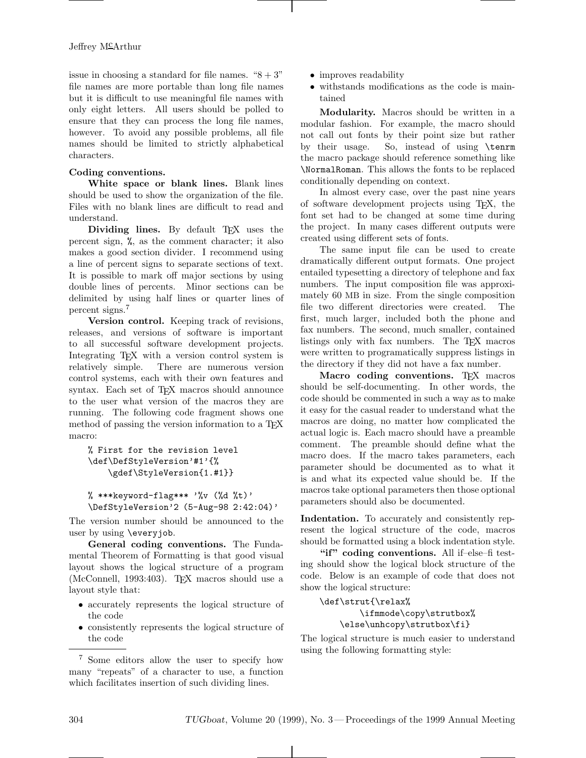issue in choosing a standard for file names. " $8 + 3$ " file names are more portable than long file names but it is difficult to use meaningful file names with only eight letters. All users should be polled to ensure that they can process the long file names, however. To avoid any possible problems, all file names should be limited to strictly alphabetical characters.

#### **Coding conventions.**

**White space or blank lines.** Blank lines should be used to show the organization of the file. Files with no blank lines are difficult to read and understand.

**Dividing lines.** By default T<sub>EX</sub> uses the percent sign, %, as the comment character; it also makes a good section divider. I recommend using a line of percent signs to separate sections of text. It is possible to mark off major sections by using double lines of percents. Minor sections can be delimited by using half lines or quarter lines of percent signs.<sup>7</sup>

**Version control.** Keeping track of revisions, releases, and versions of software is important to all successful software development projects. Integrating T<sub>E</sub>X with a version control system is<br>relatively simple. There are numerous version There are numerous version control systems, each with their own features and syntax. Each set of TEX macros should announce to the user what version of the macros they are running. The following code fragment shows one method of passing the version information to a T<sub>EX</sub> macro:

```
% First for the revision level
\def\DefStyleVersion'#1'{%
    \gdef\StyleVersion{1.#1}}
```

```
% ***keyword-flag*** '\forall v (\forall d \forall t)'
\DefStyleVersion'2 (5-Aug-98 2:42:04)'
```
The version number should be announced to the user by using \everyjob.

**General coding conventions.** The Fundamental Theorem of Formatting is that good visual layout shows the logical structure of a program (McConnell, 1993:403). TFX macros should use a layout style that:

- accurately represents the logical structure of the code
- consistently represents the logical structure of the code
- improves readability
- withstands modifications as the code is maintained

**Modularity.** Macros should be written in a modular fashion. For example, the macro should not call out fonts by their point size but rather by their usage. So, instead of using \tenrm the macro package should reference something like \NormalRoman. This allows the fonts to be replaced conditionally depending on context.

In almost every case, over the past nine years of software development projects using TEX, the font set had to be changed at some time during the project. In many cases different outputs were created using different sets of fonts.

The same input file can be used to create dramatically different output formats. One project entailed typesetting a directory of telephone and fax numbers. The input composition file was approximately 60 MB in size. From the single composition file two different directories were created. The first, much larger, included both the phone and fax numbers. The second, much smaller, contained listings only with fax numbers. The TEX macros were written to programatically suppress listings in the directory if they did not have a fax number.

**Macro coding conventions.** TFX macros should be self-documenting. In other words, the code should be commented in such a way as to make it easy for the casual reader to understand what the macros are doing, no matter how complicated the actual logic is. Each macro should have a preamble comment. The preamble should define what the macro does. If the macro takes parameters, each parameter should be documented as to what it is and what its expected value should be. If the macros take optional parameters then those optional parameters should also be documented.

**Indentation.** To accurately and consistently represent the logical structure of the code, macros should be formatted using a block indentation style.

**"if" coding conventions.** All if–else–fi testing should show the logical block structure of the code. Below is an example of code that does not show the logical structure:

```
\def\strut{\relax%
        \ifmmode\copy\strutbox%
    \else\unhcopy\strutbox\fi}
```
The logical structure is much easier to understand using the following formatting style:

<sup>7</sup> Some editors allow the user to specify how many "repeats" of a character to use, a function which facilitates insertion of such dividing lines.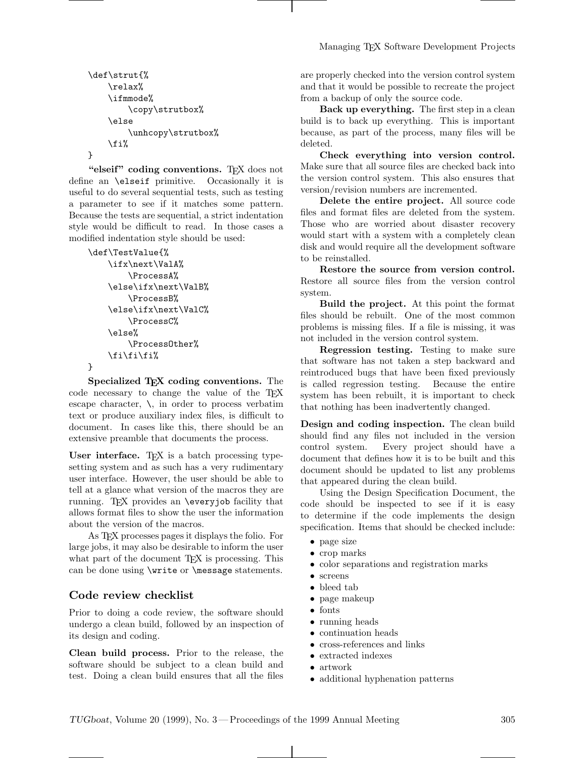```
\def\strut{%
    \relax%
    \ifmmode%
        \copy\strutbox%
    \else
        \unhcopy\strutbox%
    \fi%
}
```
"elseif" coding conventions. T<sub>EX</sub> does not define an \elseif primitive. Occasionally it is useful to do several sequential tests, such as testing a parameter to see if it matches some pattern. Because the tests are sequential, a strict indentation style would be difficult to read. In those cases a modified indentation style should be used:

```
\def\TestValue{%
    \ifx\next\ValA%
        \ProcessA%
    \else\ifx\next\ValB%
        \ProcessB%
    \else\ifx\next\ValC%
        \ProcessC%
    \else%
        \ProcessOther%
    \fi\fi\fi%
}
```
**Specialized TEX coding conventions.** The code necessary to change the value of the TFX escape character,  $\lambda$ , in order to process verbatim text or produce auxiliary index files, is difficult to document. In cases like this, there should be an extensive preamble that documents the process.

User interface. T<sub>EX</sub> is a batch processing typesetting system and as such has a very rudimentary user interface. However, the user should be able to tell at a glance what version of the macros they are running. TFX provides an \everyjob facility that allows format files to show the user the information about the version of the macros.

As TEX processes pages it displays the folio. For large jobs, it may also be desirable to inform the user what part of the document T<sub>EX</sub> is processing. This can be done using \write or \message statements.

## **Code review checklist**

Prior to doing a code review, the software should undergo a clean build, followed by an inspection of its design and coding.

**Clean build process.** Prior to the release, the software should be subject to a clean build and test. Doing a clean build ensures that all the files

are properly checked into the version control system and that it would be possible to recreate the project from a backup of only the source code.

**Back up everything.** The first step in a clean build is to back up everything. This is important because, as part of the process, many files will be deleted.

**Check everything into version control.** Make sure that all source files are checked back into the version control system. This also ensures that version/revision numbers are incremented.

**Delete the entire project.** All source code files and format files are deleted from the system. Those who are worried about disaster recovery would start with a system with a completely clean disk and would require all the development software to be reinstalled.

**Restore the source from version control.** Restore all source files from the version control system.

**Build the project.** At this point the format files should be rebuilt. One of the most common problems is missing files. If a file is missing, it was not included in the version control system.

**Regression testing.** Testing to make sure that software has not taken a step backward and reintroduced bugs that have been fixed previously is called regression testing. Because the entire system has been rebuilt, it is important to check that nothing has been inadvertently changed.

**Design and coding inspection.** The clean build should find any files not included in the version control system. Every project should have a document that defines how it is to be built and this document should be updated to list any problems that appeared during the clean build.

Using the Design Specification Document, the code should be inspected to see if it is easy to determine if the code implements the design specification. Items that should be checked include:

- page size
- crop marks
- color separations and registration marks
- screens
- bleed tab
- page makeup
- fonts
- running heads
- continuation heads
- cross-references and links
- extracted indexes
- artwork
- additional hyphenation patterns